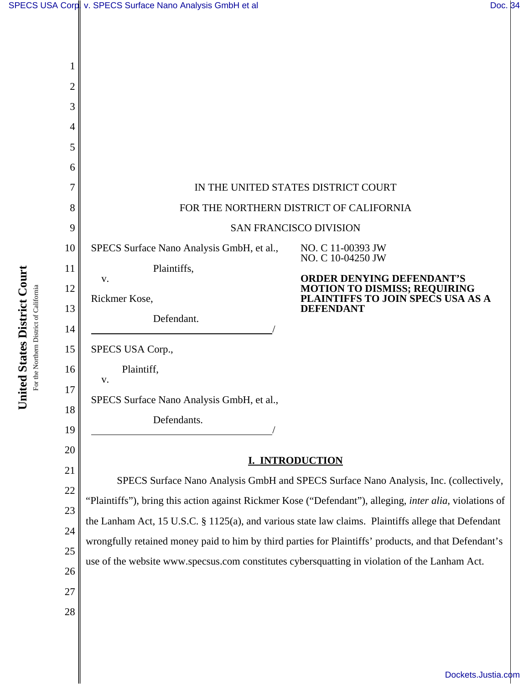| SPECS USA Corp v. SPECS Surface Nano Analysis GmbH et al | Doc. 34 |
|----------------------------------------------------------|---------|
|                                                          |         |
|                                                          |         |

| 1              |                                                                                                                  |                                                                           |  |  |  |
|----------------|------------------------------------------------------------------------------------------------------------------|---------------------------------------------------------------------------|--|--|--|
| $\overline{2}$ |                                                                                                                  |                                                                           |  |  |  |
| 3              |                                                                                                                  |                                                                           |  |  |  |
| $\overline{4}$ |                                                                                                                  |                                                                           |  |  |  |
| 5              |                                                                                                                  |                                                                           |  |  |  |
| 6              |                                                                                                                  |                                                                           |  |  |  |
| 7              | IN THE UNITED STATES DISTRICT COURT                                                                              |                                                                           |  |  |  |
| 8              | FOR THE NORTHERN DISTRICT OF CALIFORNIA                                                                          |                                                                           |  |  |  |
| 9              | <b>SAN FRANCISCO DIVISION</b>                                                                                    |                                                                           |  |  |  |
| 10             | SPECS Surface Nano Analysis GmbH, et al.,                                                                        | NO. C 11-00393 JW<br>NO. C 10-04250 JW                                    |  |  |  |
| 11             | Plaintiffs,<br>V.                                                                                                | <b>ORDER DENYING DEFENDANT'S</b>                                          |  |  |  |
| 12             | Rickmer Kose,                                                                                                    | <b>MOTION TO DISMISS; REQUIRING<br/>PLAINTIFFS TO JOIN SPECS USA AS A</b> |  |  |  |
| 13             | Defendant.                                                                                                       | <b>DEFENDANT</b>                                                          |  |  |  |
| 14             |                                                                                                                  |                                                                           |  |  |  |
| 15             | SPECS USA Corp.,                                                                                                 |                                                                           |  |  |  |
| 16             | Plaintiff,<br>V.                                                                                                 |                                                                           |  |  |  |
| 17             | SPECS Surface Nano Analysis GmbH, et al.,                                                                        |                                                                           |  |  |  |
| 18             | Defendants.                                                                                                      |                                                                           |  |  |  |
| 19             |                                                                                                                  |                                                                           |  |  |  |
| 20             |                                                                                                                  | I. INTRODUCTION                                                           |  |  |  |
| 21             | SPECS Surface Nano Analysis GmbH and SPECS Surface Nano Analysis, Inc. (collectively,                            |                                                                           |  |  |  |
| 22<br>23       | "Plaintiffs"), bring this action against Rickmer Kose ("Defendant"), alleging, <i>inter alia</i> , violations of |                                                                           |  |  |  |
| 24             | the Lanham Act, 15 U.S.C. § 1125(a), and various state law claims. Plaintiffs allege that Defendant              |                                                                           |  |  |  |
| 25             | wrongfully retained money paid to him by third parties for Plaintiffs' products, and that Defendant's            |                                                                           |  |  |  |
| 26             | use of the website www.specsus.com constitutes cybersquatting in violation of the Lanham Act.                    |                                                                           |  |  |  |
| 27             |                                                                                                                  |                                                                           |  |  |  |
| 28             |                                                                                                                  |                                                                           |  |  |  |
|                |                                                                                                                  |                                                                           |  |  |  |

United States District Court **United States District Court** For the Northern District of California For the Northern District of California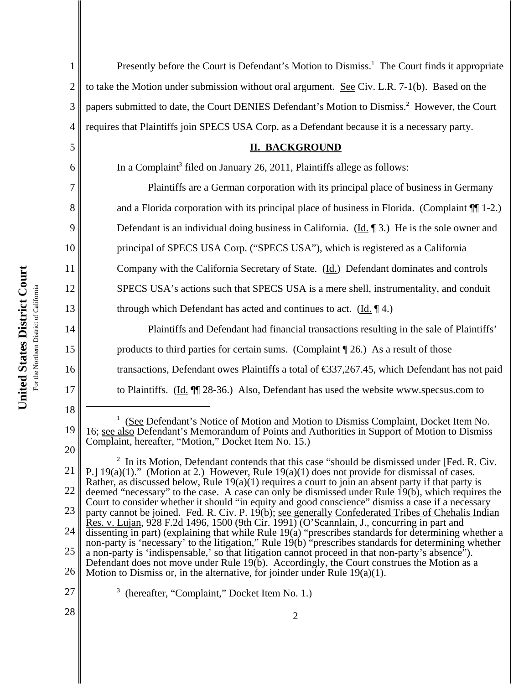1 2 3 4 5 6 7 8 9 10 11 12 13 14 15 16 17 18 19 20 21 22 23 24 25 <sup>1</sup> (See Defendant's Notice of Motion and Motion to Dismiss Complaint, Docket Item No. 16; see also Defendant's Memorandum of Points and Authorities in Support of Motion to Dismiss Complaint, hereafter, "Motion," Docket Item No. 15.) <sup>2</sup> In its Motion, Defendant contends that this case "should be dismissed under [Fed. R. Civ. P.] 19(a)(1)." (Motion at 2.) However, Rule 19(a)(1) does not provide for dismissal of cases. Rather, as discussed below, Rule 19(a)(1) requires a court to join an absent party if that party is deemed "necessary" to the case. A case can only be dismissed under Rule 19(b), which requires the Court to consider whether it should "in equity and good conscience" dismiss a case if a necessary party cannot be joined. Fed. R. Civ. P. 19(b); see generally Confederated Tribes of Chehalis Indian Res. v. Lujan, 928 F.2d 1496, 1500 (9th Cir. 1991) (O'Scannlain, J., concurring in part and dissenting in part) (explaining that while Rule 19(a) "prescribes standards for determining whether a non-party is 'necessary' to the litigation," Rule 19(b) "prescribes standards for determining whether a non-party is 'indispensable,' so that litigation cannot proceed in that non-party's absence"). Defendant does not move under Rule 19(b). Accordingly, the Court construes the Motion as a Presently before the Court is Defendant's Motion to Dismiss.<sup>1</sup> The Court finds it appropriate to take the Motion under submission without oral argument. See Civ. L.R. 7-1(b). Based on the papers submitted to date, the Court DENIES Defendant's Motion to Dismiss.<sup>2</sup> However, the Court requires that Plaintiffs join SPECS USA Corp. as a Defendant because it is a necessary party. **II. BACKGROUND** In a Complaint<sup>3</sup> filed on January 26, 2011, Plaintiffs allege as follows: Plaintiffs are a German corporation with its principal place of business in Germany and a Florida corporation with its principal place of business in Florida. (Complaint ¶¶ 1-2.) Defendant is an individual doing business in California. (Id. 1) He is the sole owner and principal of SPECS USA Corp. ("SPECS USA"), which is registered as a California Company with the California Secretary of State. (Id.) Defendant dominates and controls SPECS USA's actions such that SPECS USA is a mere shell, instrumentality, and conduit through which Defendant has acted and continues to act.  $(\underline{Id}, \P 4)$ . Plaintiffs and Defendant had financial transactions resulting in the sale of Plaintiffs' products to third parties for certain sums. (Complaint ¶ 26.) As a result of those transactions, Defendant owes Plaintiffs a total of €337,267.45, which Defendant has not paid to Plaintiffs. (Id. ¶¶ 28-36.) Also, Defendant has used the website www.specsus.com to

26 Motion to Dismiss or, in the alternative, for joinder under Rule  $19(a)(1)$ .

27

<sup>3</sup> (hereafter, "Complaint," Docket Item No. 1.)

28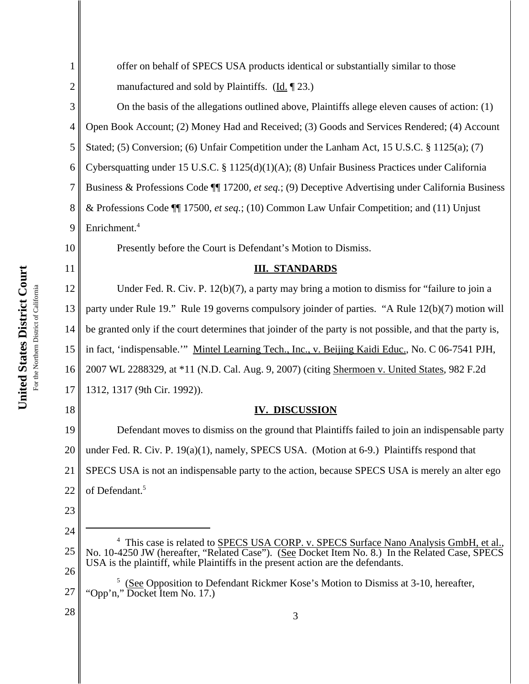| 1              | offer on behalf of SPECS USA products identical or substantially similar to those                                                                                                       |  |  |
|----------------|-----------------------------------------------------------------------------------------------------------------------------------------------------------------------------------------|--|--|
|                |                                                                                                                                                                                         |  |  |
| $\overline{c}$ | manufactured and sold by Plaintiffs. $(\underline{Id}, \P \ 23.)$                                                                                                                       |  |  |
| 3              | On the basis of the allegations outlined above, Plaintiffs allege eleven causes of action: (1)                                                                                          |  |  |
| 4              | Open Book Account; (2) Money Had and Received; (3) Goods and Services Rendered; (4) Account                                                                                             |  |  |
| 5              | Stated; (5) Conversion; (6) Unfair Competition under the Lanham Act, 15 U.S.C. § 1125(a); (7)                                                                                           |  |  |
| 6              | Cybersquatting under 15 U.S.C. § 1125(d)(1)(A); (8) Unfair Business Practices under California                                                                                          |  |  |
| 7              | Business & Professions Code ¶ 17200, et seq.; (9) Deceptive Advertising under California Business                                                                                       |  |  |
| 8              | & Professions Code ¶ 17500, et seq.; (10) Common Law Unfair Competition; and (11) Unjust                                                                                                |  |  |
| 9              | Enrichment. <sup>4</sup>                                                                                                                                                                |  |  |
| 10             | Presently before the Court is Defendant's Motion to Dismiss.                                                                                                                            |  |  |
| 11             | <b>III. STANDARDS</b>                                                                                                                                                                   |  |  |
| 12             | Under Fed. R. Civ. P. $12(b)(7)$ , a party may bring a motion to dismiss for "failure to join a                                                                                         |  |  |
| 13             | party under Rule 19." Rule 19 governs compulsory joinder of parties. "A Rule 12(b)(7) motion will                                                                                       |  |  |
| 14             | be granted only if the court determines that joinder of the party is not possible, and that the party is,                                                                               |  |  |
| 15             | in fact, 'indispensable.'" Mintel Learning Tech., Inc., v. Beijing Kaidi Educ., No. C 06-7541 PJH,                                                                                      |  |  |
| 16             | 2007 WL 2288329, at *11 (N.D. Cal. Aug. 9, 2007) (citing Shermoen v. United States, 982 F.2d                                                                                            |  |  |
| 17             | 1312, 1317 (9th Cir. 1992)).                                                                                                                                                            |  |  |
| 18             | <b>IV. DISCUSSION</b>                                                                                                                                                                   |  |  |
| 19             | Defendant moves to dismiss on the ground that Plaintiffs failed to join an indispensable party                                                                                          |  |  |
| 20             | under Fed. R. Civ. P. 19(a)(1), namely, SPECS USA. (Motion at 6-9.) Plaintiffs respond that                                                                                             |  |  |
| 21             | SPECS USA is not an indispensable party to the action, because SPECS USA is merely an alter ego                                                                                         |  |  |
| 22             | of Defendant. <sup>5</sup>                                                                                                                                                              |  |  |
| 23             |                                                                                                                                                                                         |  |  |
| 24             |                                                                                                                                                                                         |  |  |
| 25             | This case is related to SPECS USA CORP. v. SPECS Surface Nano Analysis GmbH, et al.,<br>No. 10-4250 JW (hereafter, "Related Case"). (See Docket Item No. 8.) In the Related Case, SPECS |  |  |
| 26             | USA is the plaintiff, while Plaintiffs in the present action are the defendants.                                                                                                        |  |  |
| 27             | (See Opposition to Defendant Rickmer Kose's Motion to Dismiss at 3-10, hereafter,<br>"Opp'n," Docket Item No. 17.)                                                                      |  |  |
| 28             | 3                                                                                                                                                                                       |  |  |

United States District Court **United States District Court** For the Northern District of California For the Northern District of California

<sup>2</sup>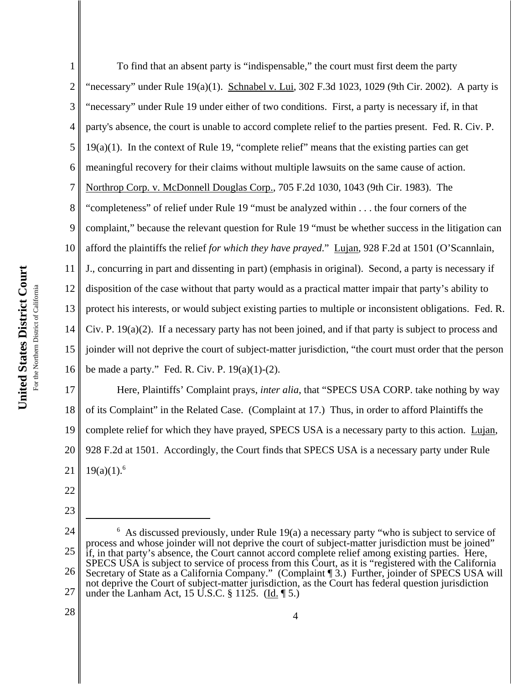1 2 3 4 5 6 7 8 9 10 11 12 13 14 15 16 To find that an absent party is "indispensable," the court must first deem the party "necessary" under Rule  $19(a)(1)$ . Schnabel v. Lui, 302 F.3d 1023, 1029 (9th Cir. 2002). A party is "necessary" under Rule 19 under either of two conditions. First, a party is necessary if, in that party's absence, the court is unable to accord complete relief to the parties present. Fed. R. Civ. P. 19(a)(1). In the context of Rule 19, "complete relief" means that the existing parties can get meaningful recovery for their claims without multiple lawsuits on the same cause of action. Northrop Corp. v. McDonnell Douglas Corp., 705 F.2d 1030, 1043 (9th Cir. 1983). The "completeness" of relief under Rule 19 "must be analyzed within . . . the four corners of the complaint," because the relevant question for Rule 19 "must be whether success in the litigation can afford the plaintiffs the relief *for which they have prayed*." Lujan, 928 F.2d at 1501 (O'Scannlain, J., concurring in part and dissenting in part) (emphasis in original). Second, a party is necessary if disposition of the case without that party would as a practical matter impair that party's ability to protect his interests, or would subject existing parties to multiple or inconsistent obligations. Fed. R. Civ. P. 19(a)(2). If a necessary party has not been joined, and if that party is subject to process and joinder will not deprive the court of subject-matter jurisdiction, "the court must order that the person be made a party." Fed. R. Civ. P. 19(a)(1)-(2).

17 18 19 20 21 Here, Plaintiffs' Complaint prays, *inter alia*, that "SPECS USA CORP. take nothing by way of its Complaint" in the Related Case. (Complaint at 17.) Thus, in order to afford Plaintiffs the complete relief for which they have prayed, SPECS USA is a necessary party to this action. Lujan, 928 F.2d at 1501. Accordingly, the Court finds that SPECS USA is a necessary party under Rule  $19(a)(1).<sup>6</sup>$ 

22

23

24 25 26 27 <sup>6</sup> As discussed previously, under Rule 19(a) a necessary party "who is subject to service of process and whose joinder will not deprive the court of subject-matter jurisdiction must be joined" if, in that party's absence, the Court cannot accord complete relief among existing parties. Here, SPECS USA is subject to service of process from this Court, as it is "registered with the California Secretary of State as a California Company." (Complaint [3.) Further, joinder of SPECS USA will not deprive the Court of subject-matter jurisdiction, as the Court has federal question jurisdiction under the Lanham Act, 15 U.S.C. § 1125. (Id. ¶ 5.)

28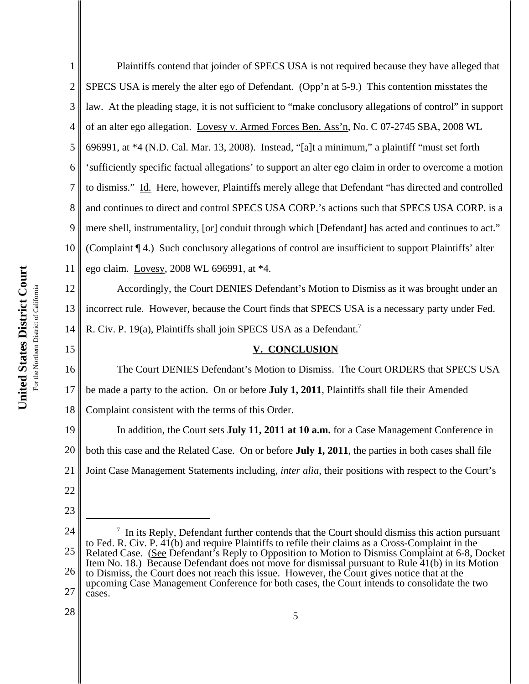3 law. At the pleading stage, it is not sufficient to "make conclusory allegations of control" in support 4 of an alter ego allegation. Lovesy v. Armed Forces Ben. Ass'n, No. C 07-2745 SBA, 2008 WL 5 696991, at \*4 (N.D. Cal. Mar. 13, 2008). Instead, "[a]t a minimum," a plaintiff "must set forth 6 'sufficiently specific factual allegations' to support an alter ego claim in order to overcome a motion 7 to dismiss." Id. Here, however, Plaintiffs merely allege that Defendant "has directed and controlled 8 and continues to direct and control SPECS USA CORP.'s actions such that SPECS USA CORP. is a 9 mere shell, instrumentality, [or] conduit through which [Defendant] has acted and continues to act." 10 (Complaint ¶ 4.) Such conclusory allegations of control are insufficient to support Plaintiffs' alter ego claim. Lovesy, 2008 WL 696991, at \*4. 11 United States District Court **United States District Court** 12 Accordingly, the Court DENIES Defendant's Motion to Dismiss as it was brought under an For the Northern District of California For the Northern District of California 13 incorrect rule. However, because the Court finds that SPECS USA is a necessary party under Fed. 14 R. Civ. P. 19(a), Plaintiffs shall join SPECS USA as a Defendant.<sup>7</sup> 15 The Court DENIES Defendant's Motion to Dismiss. The Court ORDERS that SPECS USA 16 17 be made a party to the action. On or before **July 1, 2011**, Plaintiffs shall file their Amended 18 Complaint consistent with the terms of this Order.

1

2

24 25 26 27  $<sup>7</sup>$  In its Reply, Defendant further contends that the Court should dismiss this action pursuant</sup> to Fed. R. Civ. P. 41(b) and require Plaintiffs to refile their claims as a Cross-Complaint in the Related Case. (See Defendant's Reply to Opposition to Motion to Dismiss Complaint at 6-8, Docket Item No. 18.) Because Defendant does not move for dismissal pursuant to Rule 41(b) in its Motion to Dismiss, the Court does not reach this issue. However, the Court gives notice that at the upcoming Case Management Conference for both cases, the Court intends to consolidate the two cases.

**V. CONCLUSION**

In addition, the Court sets **July 11, 2011 at 10 a.m.** for a Case Management Conference in

both this case and the Related Case. On or before **July 1, 2011**, the parties in both cases shall file

Joint Case Management Statements including, *inter alia*, their positions with respect to the Court's

28

19

20

21

22

23

Plaintiffs contend that joinder of SPECS USA is not required because they have alleged that

SPECS USA is merely the alter ego of Defendant. (Opp'n at 5-9.) This contention misstates the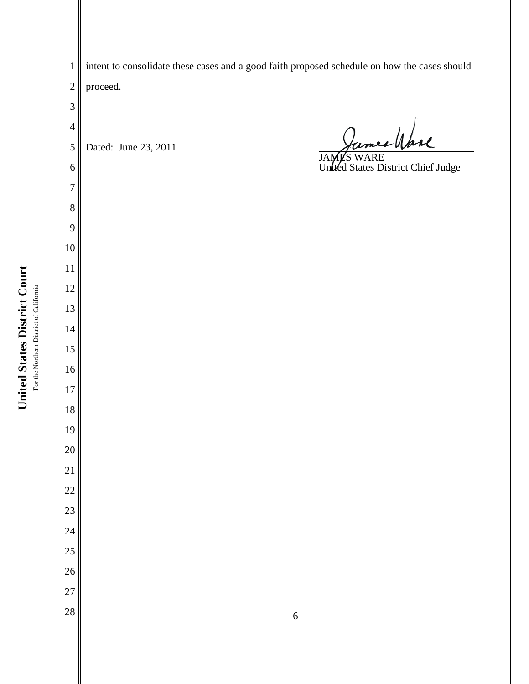intent to consolidate these cases and a good faith proposed schedule on how the cases should proceed.

 James Wase Dated: June 23, 2011 JAMES WARE United States District Chief Judge